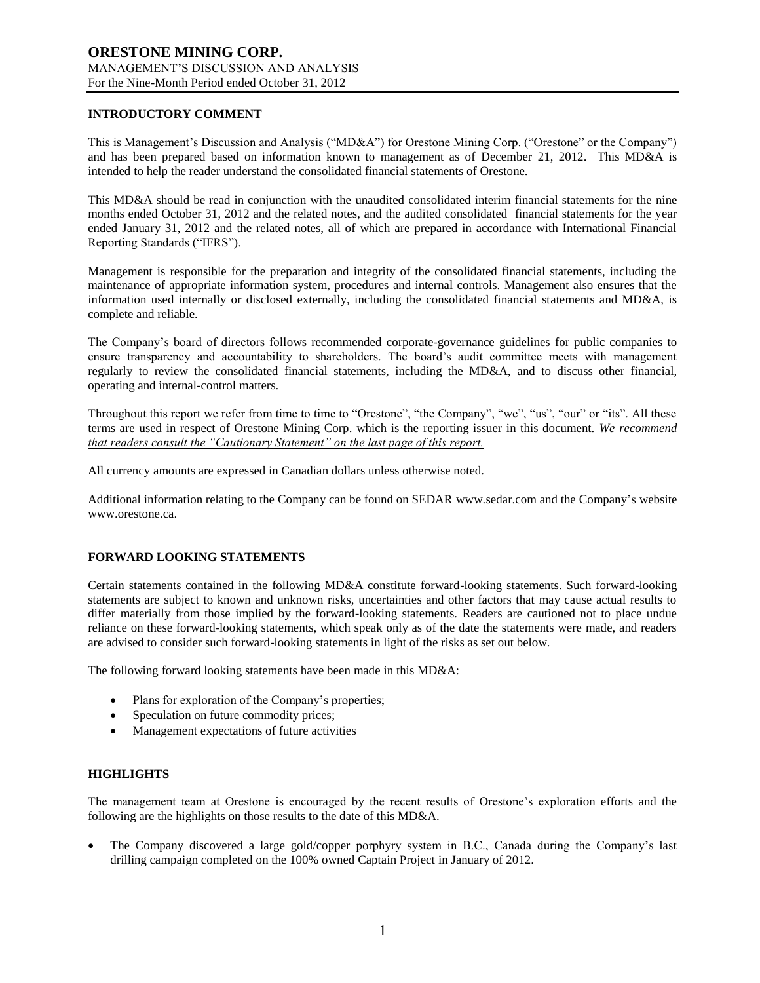# **INTRODUCTORY COMMENT**

This is Management's Discussion and Analysis ("MD&A") for Orestone Mining Corp. ("Orestone" or the Company") and has been prepared based on information known to management as of December 21, 2012. This MD&A is intended to help the reader understand the consolidated financial statements of Orestone.

This MD&A should be read in conjunction with the unaudited consolidated interim financial statements for the nine months ended October 31, 2012 and the related notes, and the audited consolidated financial statements for the year ended January 31, 2012 and the related notes, all of which are prepared in accordance with International Financial Reporting Standards ("IFRS").

Management is responsible for the preparation and integrity of the consolidated financial statements, including the maintenance of appropriate information system, procedures and internal controls. Management also ensures that the information used internally or disclosed externally, including the consolidated financial statements and MD&A, is complete and reliable.

The Company's board of directors follows recommended corporate-governance guidelines for public companies to ensure transparency and accountability to shareholders. The board's audit committee meets with management regularly to review the consolidated financial statements, including the MD&A, and to discuss other financial, operating and internal-control matters.

Throughout this report we refer from time to time to "Orestone", "the Company", "we", "us", "our" or "its". All these terms are used in respect of Orestone Mining Corp. which is the reporting issuer in this document. *We recommend that readers consult the "Cautionary Statement" on the last page of this report.*

All currency amounts are expressed in Canadian dollars unless otherwise noted.

Additional information relating to the Company can be found on SEDAR www.sedar.com and the Company's website www.orestone.ca.

# **FORWARD LOOKING STATEMENTS**

Certain statements contained in the following MD&A constitute forward-looking statements. Such forward-looking statements are subject to known and unknown risks, uncertainties and other factors that may cause actual results to differ materially from those implied by the forward-looking statements. Readers are cautioned not to place undue reliance on these forward-looking statements, which speak only as of the date the statements were made, and readers are advised to consider such forward-looking statements in light of the risks as set out below.

The following forward looking statements have been made in this MD&A:

- Plans for exploration of the Company's properties;
- Speculation on future commodity prices;
- Management expectations of future activities

### **HIGHLIGHTS**

The management team at Orestone is encouraged by the recent results of Orestone's exploration efforts and the following are the highlights on those results to the date of this MD&A.

 The Company discovered a large gold/copper porphyry system in B.C., Canada during the Company's last drilling campaign completed on the 100% owned Captain Project in January of 2012.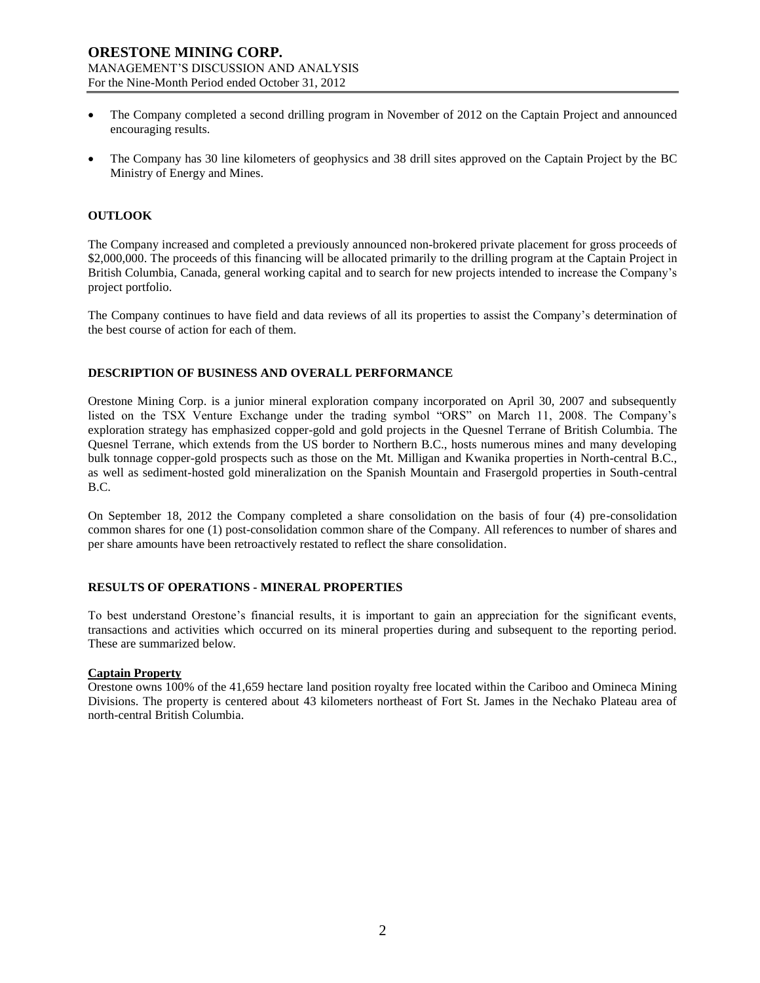- The Company completed a second drilling program in November of 2012 on the Captain Project and announced encouraging results.
- The Company has 30 line kilometers of geophysics and 38 drill sites approved on the Captain Project by the BC Ministry of Energy and Mines.

### **OUTLOOK**

The Company increased and completed a previously announced non-brokered private placement for gross proceeds of \$2,000,000. The proceeds of this financing will be allocated primarily to the drilling program at the Captain Project in British Columbia, Canada, general working capital and to search for new projects intended to increase the Company's project portfolio.

The Company continues to have field and data reviews of all its properties to assist the Company's determination of the best course of action for each of them.

### **DESCRIPTION OF BUSINESS AND OVERALL PERFORMANCE**

Orestone Mining Corp. is a junior mineral exploration company incorporated on April 30, 2007 and subsequently listed on the TSX Venture Exchange under the trading symbol "ORS" on March 11, 2008. The Company's exploration strategy has emphasized copper-gold and gold projects in the Quesnel Terrane of British Columbia. The Quesnel Terrane, which extends from the US border to Northern B.C., hosts numerous mines and many developing bulk tonnage copper-gold prospects such as those on the Mt. Milligan and Kwanika properties in North-central B.C., as well as sediment-hosted gold mineralization on the Spanish Mountain and Frasergold properties in South-central B.C.

On September 18, 2012 the Company completed a share consolidation on the basis of four (4) pre-consolidation common shares for one (1) post-consolidation common share of the Company. All references to number of shares and per share amounts have been retroactively restated to reflect the share consolidation.

# **RESULTS OF OPERATIONS - MINERAL PROPERTIES**

To best understand Orestone's financial results, it is important to gain an appreciation for the significant events, transactions and activities which occurred on its mineral properties during and subsequent to the reporting period. These are summarized below.

### **Captain Property**

Orestone owns 100% of the 41,659 hectare land position royalty free located within the Cariboo and Omineca Mining Divisions. The property is centered about 43 kilometers northeast of Fort St. James in the Nechako Plateau area of north-central British Columbia.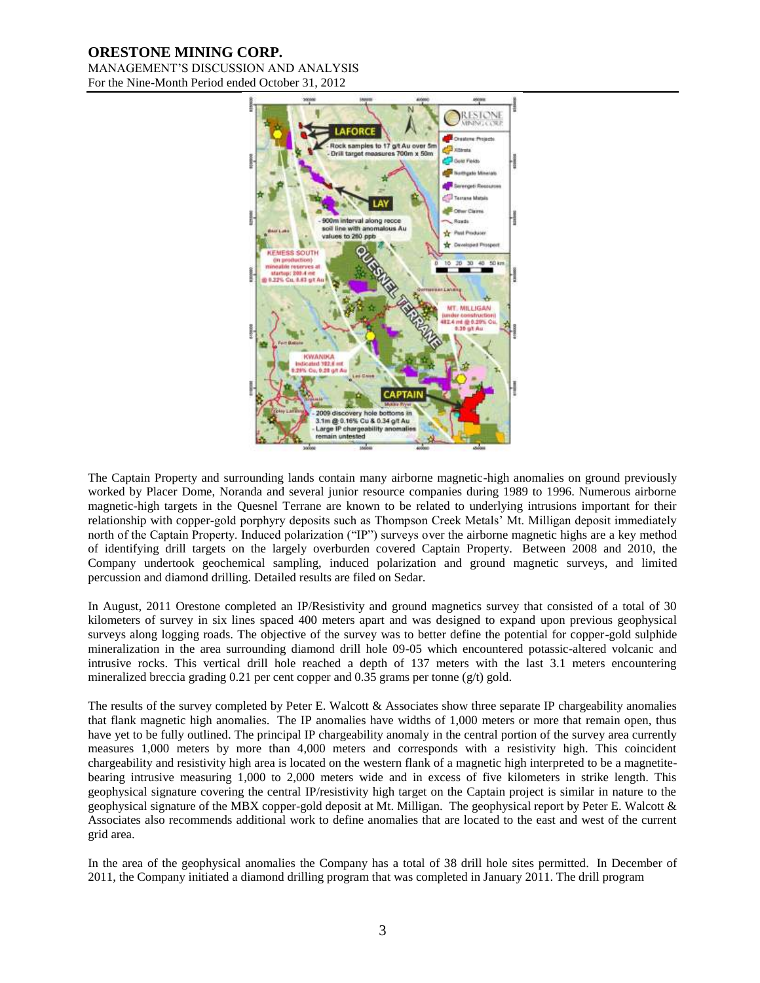# **ORESTONE MINING CORP.**

MANAGEMENT'S DISCUSSION AND ANALYSIS For the Nine-Month Period ended October 31, 2012



The Captain Property and surrounding lands contain many airborne magnetic-high anomalies on ground previously worked by Placer Dome, Noranda and several junior resource companies during 1989 to 1996. Numerous airborne magnetic-high targets in the Quesnel Terrane are known to be related to underlying intrusions important for their relationship with copper-gold porphyry deposits such as Thompson Creek Metals' Mt. Milligan deposit immediately north of the Captain Property. Induced polarization ("IP") surveys over the airborne magnetic highs are a key method of identifying drill targets on the largely overburden covered Captain Property. Between 2008 and 2010, the Company undertook geochemical sampling, induced polarization and ground magnetic surveys, and limited percussion and diamond drilling. Detailed results are filed on Sedar.

In August, 2011 Orestone completed an IP/Resistivity and ground magnetics survey that consisted of a total of 30 kilometers of survey in six lines spaced 400 meters apart and was designed to expand upon previous geophysical surveys along logging roads. The objective of the survey was to better define the potential for copper-gold sulphide mineralization in the area surrounding diamond drill hole 09-05 which encountered potassic-altered volcanic and intrusive rocks. This vertical drill hole reached a depth of 137 meters with the last 3.1 meters encountering mineralized breccia grading 0.21 per cent copper and 0.35 grams per tonne ( $g/t$ ) gold.

The results of the survey completed by Peter E. Walcott & Associates show three separate IP chargeability anomalies that flank magnetic high anomalies. The IP anomalies have widths of 1,000 meters or more that remain open, thus have yet to be fully outlined. The principal IP chargeability anomaly in the central portion of the survey area currently measures 1,000 meters by more than 4,000 meters and corresponds with a resistivity high. This coincident chargeability and resistivity high area is located on the western flank of a magnetic high interpreted to be a magnetitebearing intrusive measuring 1,000 to 2,000 meters wide and in excess of five kilometers in strike length. This geophysical signature covering the central IP/resistivity high target on the Captain project is similar in nature to the geophysical signature of the MBX copper-gold deposit at Mt. Milligan. The geophysical report by Peter E. Walcott & Associates also recommends additional work to define anomalies that are located to the east and west of the current grid area.

In the area of the geophysical anomalies the Company has a total of 38 drill hole sites permitted. In December of 2011, the Company initiated a diamond drilling program that was completed in January 2011. The drill program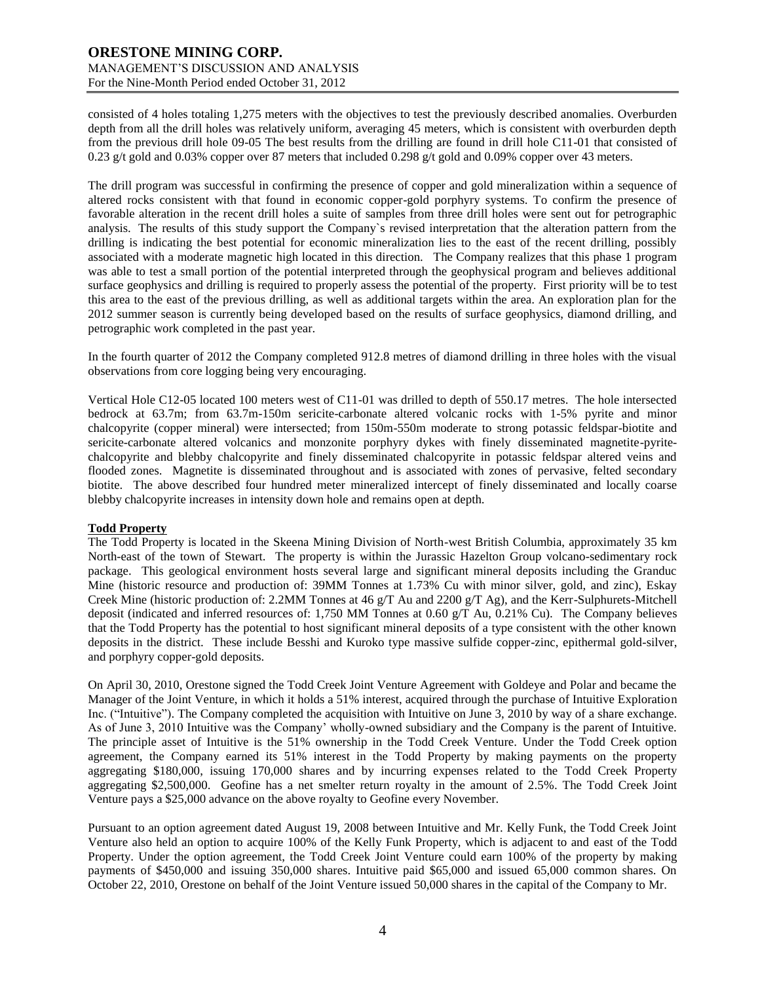consisted of 4 holes totaling 1,275 meters with the objectives to test the previously described anomalies. Overburden depth from all the drill holes was relatively uniform, averaging 45 meters, which is consistent with overburden depth from the previous drill hole 09-05 The best results from the drilling are found in drill hole C11-01 that consisted of 0.23 g/t gold and 0.03% copper over 87 meters that included 0.298 g/t gold and 0.09% copper over 43 meters.

The drill program was successful in confirming the presence of copper and gold mineralization within a sequence of altered rocks consistent with that found in economic copper-gold porphyry systems. To confirm the presence of favorable alteration in the recent drill holes a suite of samples from three drill holes were sent out for petrographic analysis. The results of this study support the Company`s revised interpretation that the alteration pattern from the drilling is indicating the best potential for economic mineralization lies to the east of the recent drilling, possibly associated with a moderate magnetic high located in this direction. The Company realizes that this phase 1 program was able to test a small portion of the potential interpreted through the geophysical program and believes additional surface geophysics and drilling is required to properly assess the potential of the property. First priority will be to test this area to the east of the previous drilling, as well as additional targets within the area. An exploration plan for the 2012 summer season is currently being developed based on the results of surface geophysics, diamond drilling, and petrographic work completed in the past year.

In the fourth quarter of 2012 the Company completed 912.8 metres of diamond drilling in three holes with the visual observations from core logging being very encouraging.

Vertical Hole C12-05 located 100 meters west of C11-01 was drilled to depth of 550.17 metres. The hole intersected bedrock at 63.7m; from 63.7m-150m sericite-carbonate altered volcanic rocks with 1-5% pyrite and minor chalcopyrite (copper mineral) were intersected; from 150m-550m moderate to strong potassic feldspar-biotite and sericite-carbonate altered volcanics and monzonite porphyry dykes with finely disseminated magnetite-pyritechalcopyrite and blebby chalcopyrite and finely disseminated chalcopyrite in potassic feldspar altered veins and flooded zones. Magnetite is disseminated throughout and is associated with zones of pervasive, felted secondary biotite. The above described four hundred meter mineralized intercept of finely disseminated and locally coarse blebby chalcopyrite increases in intensity down hole and remains open at depth.

# **Todd Property**

The Todd Property is located in the Skeena Mining Division of North-west British Columbia, approximately 35 km North-east of the town of Stewart. The property is within the Jurassic Hazelton Group volcano-sedimentary rock package. This geological environment hosts several large and significant mineral deposits including the Granduc Mine (historic resource and production of: 39MM Tonnes at 1.73% Cu with minor silver, gold, and zinc), Eskay Creek Mine (historic production of: 2.2MM Tonnes at 46 g/T Au and 2200 g/T Ag), and the Kerr-Sulphurets-Mitchell deposit (indicated and inferred resources of: 1,750 MM Tonnes at 0.60  $g/T$  Au, 0.21% Cu). The Company believes that the Todd Property has the potential to host significant mineral deposits of a type consistent with the other known deposits in the district. These include Besshi and Kuroko type massive sulfide copper-zinc, epithermal gold-silver, and porphyry copper-gold deposits.

On April 30, 2010, Orestone signed the Todd Creek Joint Venture Agreement with Goldeye and Polar and became the Manager of the Joint Venture, in which it holds a 51% interest, acquired through the purchase of Intuitive Exploration Inc. ("Intuitive"). The Company completed the acquisition with Intuitive on June 3, 2010 by way of a share exchange. As of June 3, 2010 Intuitive was the Company' wholly-owned subsidiary and the Company is the parent of Intuitive. The principle asset of Intuitive is the 51% ownership in the Todd Creek Venture. Under the Todd Creek option agreement, the Company earned its 51% interest in the Todd Property by making payments on the property aggregating \$180,000, issuing 170,000 shares and by incurring expenses related to the Todd Creek Property aggregating \$2,500,000. Geofine has a net smelter return royalty in the amount of 2.5%. The Todd Creek Joint Venture pays a \$25,000 advance on the above royalty to Geofine every November.

Pursuant to an option agreement dated August 19, 2008 between Intuitive and Mr. Kelly Funk, the Todd Creek Joint Venture also held an option to acquire 100% of the Kelly Funk Property, which is adjacent to and east of the Todd Property. Under the option agreement, the Todd Creek Joint Venture could earn 100% of the property by making payments of \$450,000 and issuing 350,000 shares. Intuitive paid \$65,000 and issued 65,000 common shares. On October 22, 2010, Orestone on behalf of the Joint Venture issued 50,000 shares in the capital of the Company to Mr.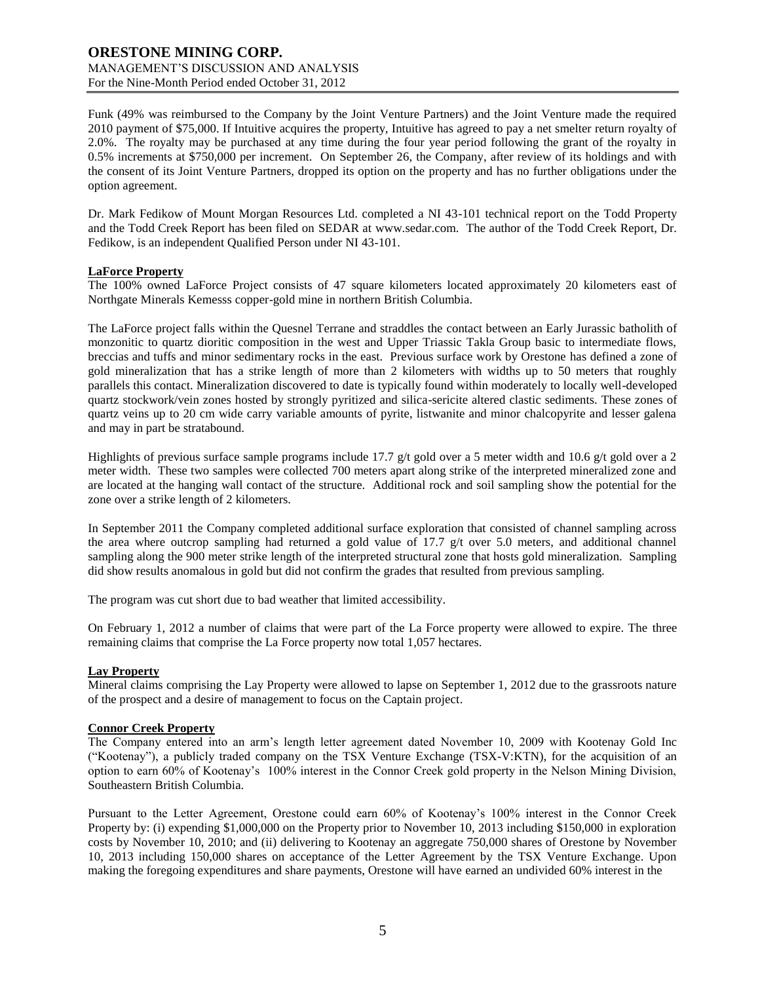Funk (49% was reimbursed to the Company by the Joint Venture Partners) and the Joint Venture made the required 2010 payment of \$75,000. If Intuitive acquires the property, Intuitive has agreed to pay a net smelter return royalty of 2.0%. The royalty may be purchased at any time during the four year period following the grant of the royalty in 0.5% increments at \$750,000 per increment. On September 26, the Company, after review of its holdings and with the consent of its Joint Venture Partners, dropped its option on the property and has no further obligations under the option agreement.

Dr. Mark Fedikow of Mount Morgan Resources Ltd. completed a NI 43-101 technical report on the Todd Property and the Todd Creek Report has been filed on SEDAR at [www.sedar.com.](http://www.sedar.com/) The author of the Todd Creek Report, Dr. Fedikow, is an independent Qualified Person under NI 43-101.

### **LaForce Property**

The 100% owned LaForce Project consists of 47 square kilometers located approximately 20 kilometers east of Northgate Minerals Kemesss copper-gold mine in northern British Columbia.

The LaForce project falls within the Quesnel Terrane and straddles the contact between an Early Jurassic batholith of monzonitic to quartz dioritic composition in the west and Upper Triassic Takla Group basic to intermediate flows, breccias and tuffs and minor sedimentary rocks in the east. Previous surface work by Orestone has defined a zone of gold mineralization that has a strike length of more than 2 kilometers with widths up to 50 meters that roughly parallels this contact. Mineralization discovered to date is typically found within moderately to locally well-developed quartz stockwork/vein zones hosted by strongly pyritized and silica-sericite altered clastic sediments. These zones of quartz veins up to 20 cm wide carry variable amounts of pyrite, listwanite and minor chalcopyrite and lesser galena and may in part be stratabound.

Highlights of previous surface sample programs include 17.7 g/t gold over a 5 meter width and 10.6 g/t gold over a 2 meter width. These two samples were collected 700 meters apart along strike of the interpreted mineralized zone and are located at the hanging wall contact of the structure. Additional rock and soil sampling show the potential for the zone over a strike length of 2 kilometers.

In September 2011 the Company completed additional surface exploration that consisted of channel sampling across the area where outcrop sampling had returned a gold value of 17.7 g/t over 5.0 meters, and additional channel sampling along the 900 meter strike length of the interpreted structural zone that hosts gold mineralization. Sampling did show results anomalous in gold but did not confirm the grades that resulted from previous sampling.

The program was cut short due to bad weather that limited accessibility.

On February 1, 2012 a number of claims that were part of the La Force property were allowed to expire. The three remaining claims that comprise the La Force property now total 1,057 hectares.

# **Lay Property**

Mineral claims comprising the Lay Property were allowed to lapse on September 1, 2012 due to the grassroots nature of the prospect and a desire of management to focus on the Captain project.

### **Connor Creek Property**

The Company entered into an arm's length letter agreement dated November 10, 2009 with Kootenay Gold Inc ("Kootenay"), a publicly traded company on the TSX Venture Exchange (TSX-V:KTN), for the acquisition of an option to earn 60% of Kootenay's 100% interest in the Connor Creek gold property in the Nelson Mining Division, Southeastern British Columbia.

Pursuant to the Letter Agreement, Orestone could earn 60% of Kootenay's 100% interest in the Connor Creek Property by: (i) expending \$1,000,000 on the Property prior to November 10, 2013 including \$150,000 in exploration costs by November 10, 2010; and (ii) delivering to Kootenay an aggregate 750,000 shares of Orestone by November 10, 2013 including 150,000 shares on acceptance of the Letter Agreement by the TSX Venture Exchange. Upon making the foregoing expenditures and share payments, Orestone will have earned an undivided 60% interest in the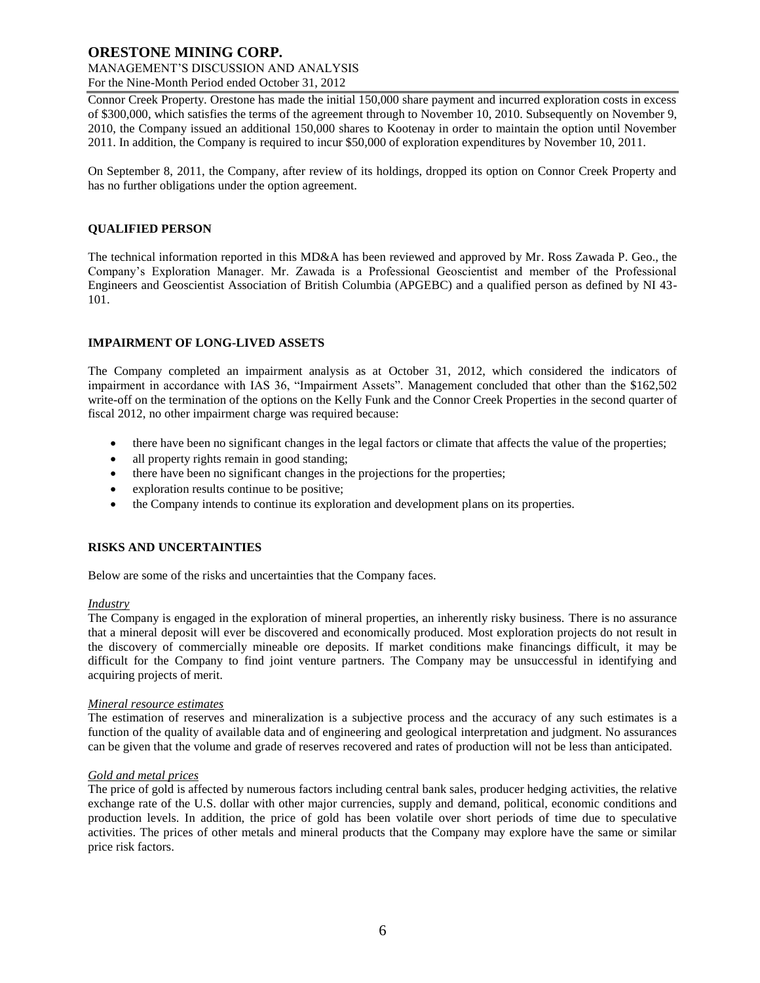# **ORESTONE MINING CORP.**

#### MANAGEMENT'S DISCUSSION AND ANALYSIS For the Nine-Month Period ended October 31, 2012

Connor Creek Property. Orestone has made the initial 150,000 share payment and incurred exploration costs in excess of \$300,000, which satisfies the terms of the agreement through to November 10, 2010. Subsequently on November 9, 2010, the Company issued an additional 150,000 shares to Kootenay in order to maintain the option until November 2011. In addition, the Company is required to incur \$50,000 of exploration expenditures by November 10, 2011.

On September 8, 2011, the Company, after review of its holdings, dropped its option on Connor Creek Property and has no further obligations under the option agreement.

# **QUALIFIED PERSON**

The technical information reported in this MD&A has been reviewed and approved by Mr. Ross Zawada P. Geo., the Company's Exploration Manager. Mr. Zawada is a Professional Geoscientist and member of the Professional Engineers and Geoscientist Association of British Columbia (APGEBC) and a qualified person as defined by NI 43- 101.

# **IMPAIRMENT OF LONG-LIVED ASSETS**

The Company completed an impairment analysis as at October 31, 2012, which considered the indicators of impairment in accordance with IAS 36, "Impairment Assets". Management concluded that other than the \$162,502 write-off on the termination of the options on the Kelly Funk and the Connor Creek Properties in the second quarter of fiscal 2012, no other impairment charge was required because:

- there have been no significant changes in the legal factors or climate that affects the value of the properties;
- all property rights remain in good standing;
- there have been no significant changes in the projections for the properties;
- exploration results continue to be positive;
- the Company intends to continue its exploration and development plans on its properties.

# **RISKS AND UNCERTAINTIES**

Below are some of the risks and uncertainties that the Company faces.

# *Industry*

The Company is engaged in the exploration of mineral properties, an inherently risky business. There is no assurance that a mineral deposit will ever be discovered and economically produced. Most exploration projects do not result in the discovery of commercially mineable ore deposits. If market conditions make financings difficult, it may be difficult for the Company to find joint venture partners. The Company may be unsuccessful in identifying and acquiring projects of merit.

# *Mineral resource estimates*

The estimation of reserves and mineralization is a subjective process and the accuracy of any such estimates is a function of the quality of available data and of engineering and geological interpretation and judgment. No assurances can be given that the volume and grade of reserves recovered and rates of production will not be less than anticipated.

# *Gold and metal prices*

The price of gold is affected by numerous factors including central bank sales, producer hedging activities, the relative exchange rate of the U.S. dollar with other major currencies, supply and demand, political, economic conditions and production levels. In addition, the price of gold has been volatile over short periods of time due to speculative activities. The prices of other metals and mineral products that the Company may explore have the same or similar price risk factors.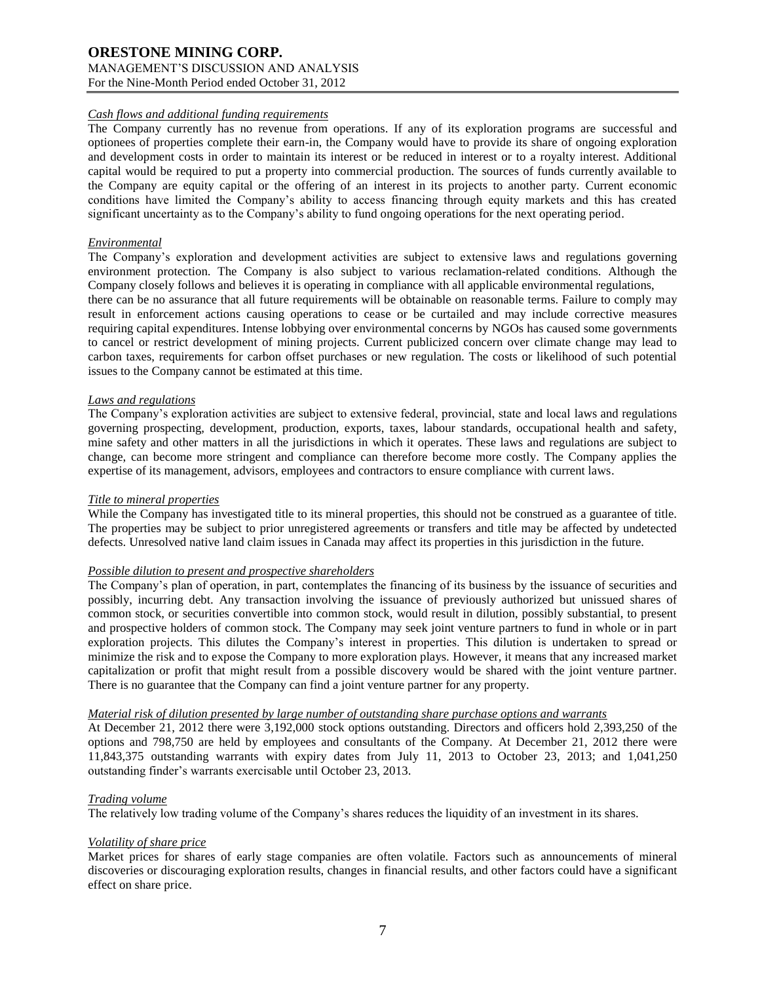### *Cash flows and additional funding requirements*

The Company currently has no revenue from operations. If any of its exploration programs are successful and optionees of properties complete their earn-in, the Company would have to provide its share of ongoing exploration and development costs in order to maintain its interest or be reduced in interest or to a royalty interest. Additional capital would be required to put a property into commercial production. The sources of funds currently available to the Company are equity capital or the offering of an interest in its projects to another party. Current economic conditions have limited the Company's ability to access financing through equity markets and this has created significant uncertainty as to the Company's ability to fund ongoing operations for the next operating period.

### *Environmental*

The Company's exploration and development activities are subject to extensive laws and regulations governing environment protection. The Company is also subject to various reclamation-related conditions. Although the Company closely follows and believes it is operating in compliance with all applicable environmental regulations, there can be no assurance that all future requirements will be obtainable on reasonable terms. Failure to comply may result in enforcement actions causing operations to cease or be curtailed and may include corrective measures requiring capital expenditures. Intense lobbying over environmental concerns by NGOs has caused some governments to cancel or restrict development of mining projects. Current publicized concern over climate change may lead to carbon taxes, requirements for carbon offset purchases or new regulation. The costs or likelihood of such potential issues to the Company cannot be estimated at this time.

### *Laws and regulations*

The Company's exploration activities are subject to extensive federal, provincial, state and local laws and regulations governing prospecting, development, production, exports, taxes, labour standards, occupational health and safety, mine safety and other matters in all the jurisdictions in which it operates. These laws and regulations are subject to change, can become more stringent and compliance can therefore become more costly. The Company applies the expertise of its management, advisors, employees and contractors to ensure compliance with current laws.

### *Title to mineral properties*

While the Company has investigated title to its mineral properties, this should not be construed as a guarantee of title. The properties may be subject to prior unregistered agreements or transfers and title may be affected by undetected defects. Unresolved native land claim issues in Canada may affect its properties in this jurisdiction in the future.

# *Possible dilution to present and prospective shareholders*

The Company's plan of operation, in part, contemplates the financing of its business by the issuance of securities and possibly, incurring debt. Any transaction involving the issuance of previously authorized but unissued shares of common stock, or securities convertible into common stock, would result in dilution, possibly substantial, to present and prospective holders of common stock. The Company may seek joint venture partners to fund in whole or in part exploration projects. This dilutes the Company's interest in properties. This dilution is undertaken to spread or minimize the risk and to expose the Company to more exploration plays. However, it means that any increased market capitalization or profit that might result from a possible discovery would be shared with the joint venture partner. There is no guarantee that the Company can find a joint venture partner for any property.

### *Material risk of dilution presented by large number of outstanding share purchase options and warrants*

At December 21, 2012 there were 3,192,000 stock options outstanding. Directors and officers hold 2,393,250 of the options and 798,750 are held by employees and consultants of the Company. At December 21, 2012 there were 11,843,375 outstanding warrants with expiry dates from July 11, 2013 to October 23, 2013; and 1,041,250 outstanding finder's warrants exercisable until October 23, 2013.

# *Trading volume*

The relatively low trading volume of the Company's shares reduces the liquidity of an investment in its shares.

# *Volatility of share price*

Market prices for shares of early stage companies are often volatile. Factors such as announcements of mineral discoveries or discouraging exploration results, changes in financial results, and other factors could have a significant effect on share price.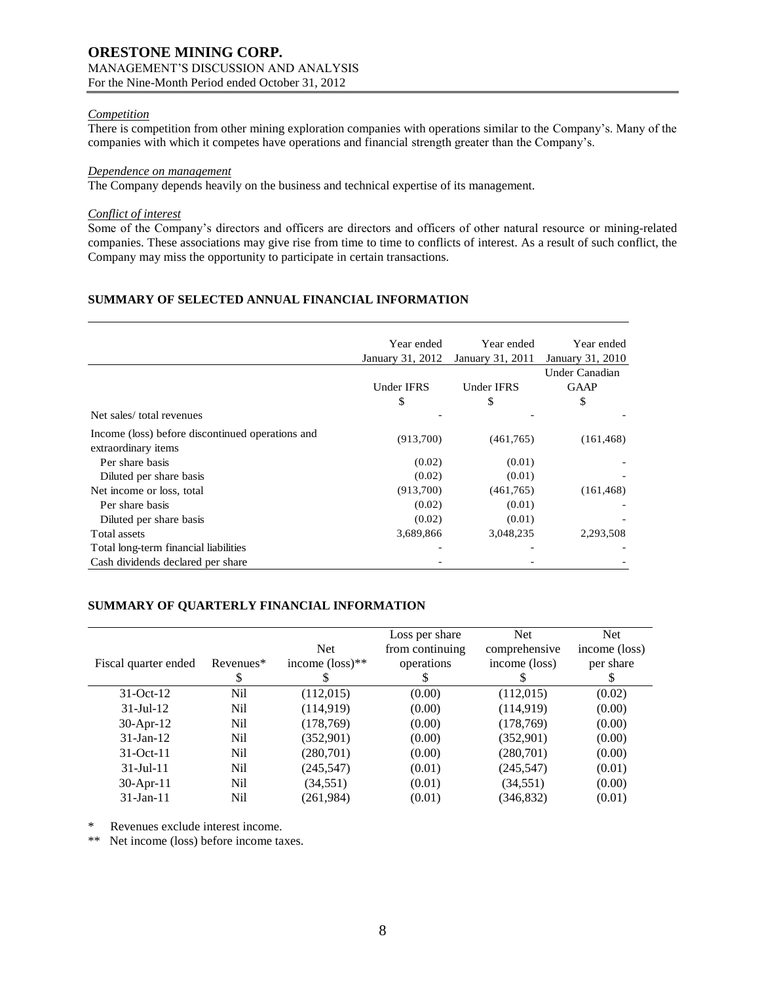# **ORESTONE MINING CORP.** MANAGEMENT'S DISCUSSION AND ANALYSIS

For the Nine-Month Period ended October 31, 2012

# *Competition*

There is competition from other mining exploration companies with operations similar to the Company's. Many of the companies with which it competes have operations and financial strength greater than the Company's.

# *Dependence on management*

The Company depends heavily on the business and technical expertise of its management.

# *Conflict of interest*

Some of the Company's directors and officers are directors and officers of other natural resource or mining-related companies. These associations may give rise from time to time to conflicts of interest. As a result of such conflict, the Company may miss the opportunity to participate in certain transactions.

# **SUMMARY OF SELECTED ANNUAL FINANCIAL INFORMATION**

|                                                                         | Year ended<br>January 31, 2012 | Year ended<br>January 31, 2011 | Year ended<br>January 31, 2010 |
|-------------------------------------------------------------------------|--------------------------------|--------------------------------|--------------------------------|
|                                                                         |                                |                                | Under Canadian                 |
|                                                                         | <b>Under IFRS</b>              | Under IFRS                     | <b>GAAP</b>                    |
|                                                                         | \$                             | \$                             | \$                             |
| Net sales/total revenues                                                |                                |                                |                                |
| Income (loss) before discontinued operations and<br>extraordinary items | (913,700)                      | (461,765)                      | (161, 468)                     |
| Per share basis                                                         | (0.02)                         | (0.01)                         |                                |
| Diluted per share basis                                                 | (0.02)                         | (0.01)                         |                                |
| Net income or loss, total                                               | (913,700)                      | (461,765)                      | (161, 468)                     |
| Per share basis                                                         | (0.02)                         | (0.01)                         |                                |
| Diluted per share basis                                                 | (0.02)                         | (0.01)                         |                                |
| Total assets                                                            | 3,689,866                      | 3,048,235                      | 2,293,508                      |
| Total long-term financial liabilities                                   |                                |                                |                                |
| Cash dividends declared per share                                       |                                |                                |                                |

# **SUMMARY OF QUARTERLY FINANCIAL INFORMATION**

|                      |           |                             | Loss per share  | <b>Net</b>    | <b>Net</b>    |
|----------------------|-----------|-----------------------------|-----------------|---------------|---------------|
|                      |           | <b>Net</b>                  | from continuing | comprehensive | income (loss) |
| Fiscal quarter ended | Revenues* | income $(\text{loss})^{**}$ | operations      | income (loss) | per share     |
|                      | \$        |                             |                 |               |               |
| $31-Oct-12$          | Nil       | (112,015)                   | (0.00)          | (112,015)     | (0.02)        |
| $31$ -Jul-12         | Nil       | (114, 919)                  | (0.00)          | (114, 919)    | (0.00)        |
| $30-Apr-12$          | Nil       | (178, 769)                  | (0.00)          | (178, 769)    | (0.00)        |
| $31$ -Jan-12         | Nil       | (352,901)                   | (0.00)          | (352,901)     | (0.00)        |
| $31-Oct-11$          | Nil       | (280, 701)                  | (0.00)          | (280,701)     | (0.00)        |
| $31 -$ Jul $-11$     | Nil       | (245, 547)                  | (0.01)          | (245, 547)    | (0.01)        |
| $30$ -Apr-11         | Nil       | (34, 551)                   | (0.01)          | (34, 551)     | (0.00)        |
| $31$ -Jan-11         | Nil       | (261, 984)                  | (0.01)          | (346, 832)    | (0.01)        |

\* Revenues exclude interest income.

\*\* Net income (loss) before income taxes.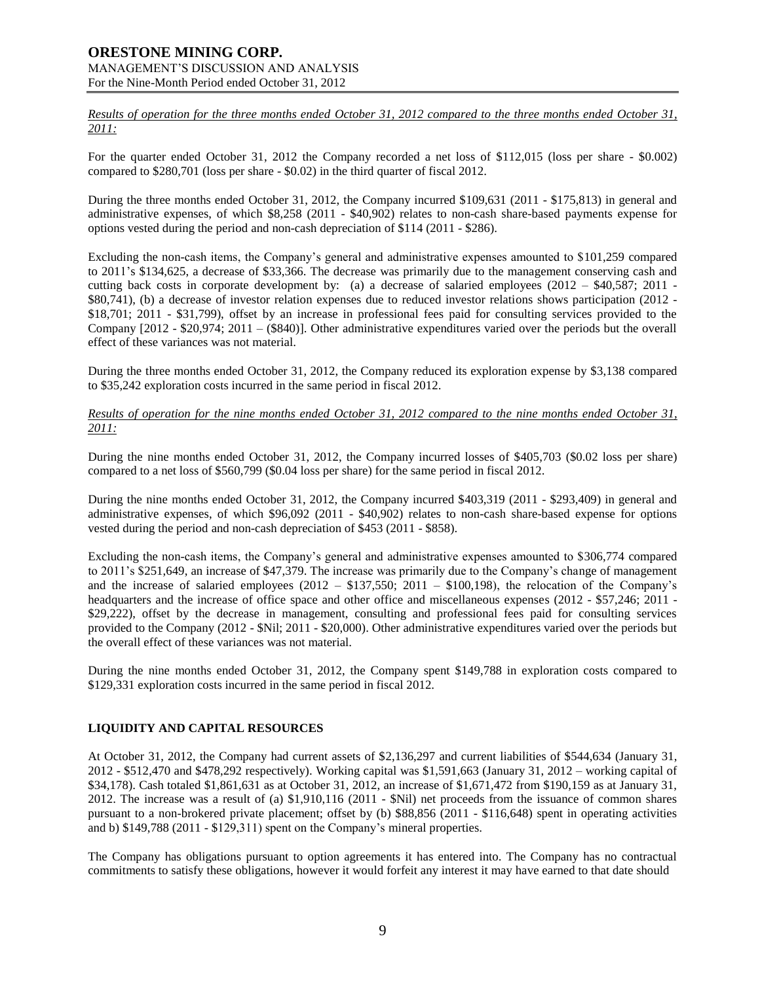*Results of operation for the three months ended October 31, 2012 compared to the three months ended October 31, 2011:*

For the quarter ended October 31, 2012 the Company recorded a net loss of \$112,015 (loss per share - \$0.002) compared to \$280,701 (loss per share - \$0.02) in the third quarter of fiscal 2012.

During the three months ended October 31, 2012, the Company incurred \$109,631 (2011 - \$175,813) in general and administrative expenses, of which \$8,258 (2011 - \$40,902) relates to non-cash share-based payments expense for options vested during the period and non-cash depreciation of \$114 (2011 - \$286).

Excluding the non-cash items, the Company's general and administrative expenses amounted to \$101,259 compared to 2011's \$134,625, a decrease of \$33,366. The decrease was primarily due to the management conserving cash and cutting back costs in corporate development by: (a) a decrease of salaried employees (2012 – \$40,587; 2011 - \$80,741), (b) a decrease of investor relation expenses due to reduced investor relations shows participation (2012 - \$18,701; 2011 - \$31,799), offset by an increase in professional fees paid for consulting services provided to the Company [2012 - \$20,974; 2011 – (\$840)]. Other administrative expenditures varied over the periods but the overall effect of these variances was not material.

During the three months ended October 31, 2012, the Company reduced its exploration expense by \$3,138 compared to \$35,242 exploration costs incurred in the same period in fiscal 2012.

### *Results of operation for the nine months ended October 31, 2012 compared to the nine months ended October 31, 2011:*

During the nine months ended October 31, 2012, the Company incurred losses of \$405,703 (\$0.02 loss per share) compared to a net loss of \$560,799 (\$0.04 loss per share) for the same period in fiscal 2012.

During the nine months ended October 31, 2012, the Company incurred \$403,319 (2011 - \$293,409) in general and administrative expenses, of which \$96,092 (2011 - \$40,902) relates to non-cash share-based expense for options vested during the period and non-cash depreciation of \$453 (2011 - \$858).

Excluding the non-cash items, the Company's general and administrative expenses amounted to \$306,774 compared to 2011's \$251,649, an increase of \$47,379. The increase was primarily due to the Company's change of management and the increase of salaried employees  $(2012 - $137,550; 2011 - $100,198)$ , the relocation of the Company's headquarters and the increase of office space and other office and miscellaneous expenses (2012 - \$57,246; 2011 - \$29,222), offset by the decrease in management, consulting and professional fees paid for consulting services provided to the Company (2012 - \$Nil; 2011 - \$20,000). Other administrative expenditures varied over the periods but the overall effect of these variances was not material.

During the nine months ended October 31, 2012, the Company spent \$149,788 in exploration costs compared to \$129,331 exploration costs incurred in the same period in fiscal 2012.

# **LIQUIDITY AND CAPITAL RESOURCES**

At October 31, 2012, the Company had current assets of \$2,136,297 and current liabilities of \$544,634 (January 31, 2012 - \$512,470 and \$478,292 respectively). Working capital was \$1,591,663 (January 31, 2012 – working capital of \$34,178). Cash totaled \$1,861,631 as at October 31, 2012, an increase of \$1,671,472 from \$190,159 as at January 31, 2012. The increase was a result of (a) \$1,910,116 (2011 - \$Nil) net proceeds from the issuance of common shares pursuant to a non-brokered private placement; offset by (b) \$88,856 (2011 - \$116,648) spent in operating activities and b) \$149,788 (2011 - \$129,311) spent on the Company's mineral properties.

The Company has obligations pursuant to option agreements it has entered into. The Company has no contractual commitments to satisfy these obligations, however it would forfeit any interest it may have earned to that date should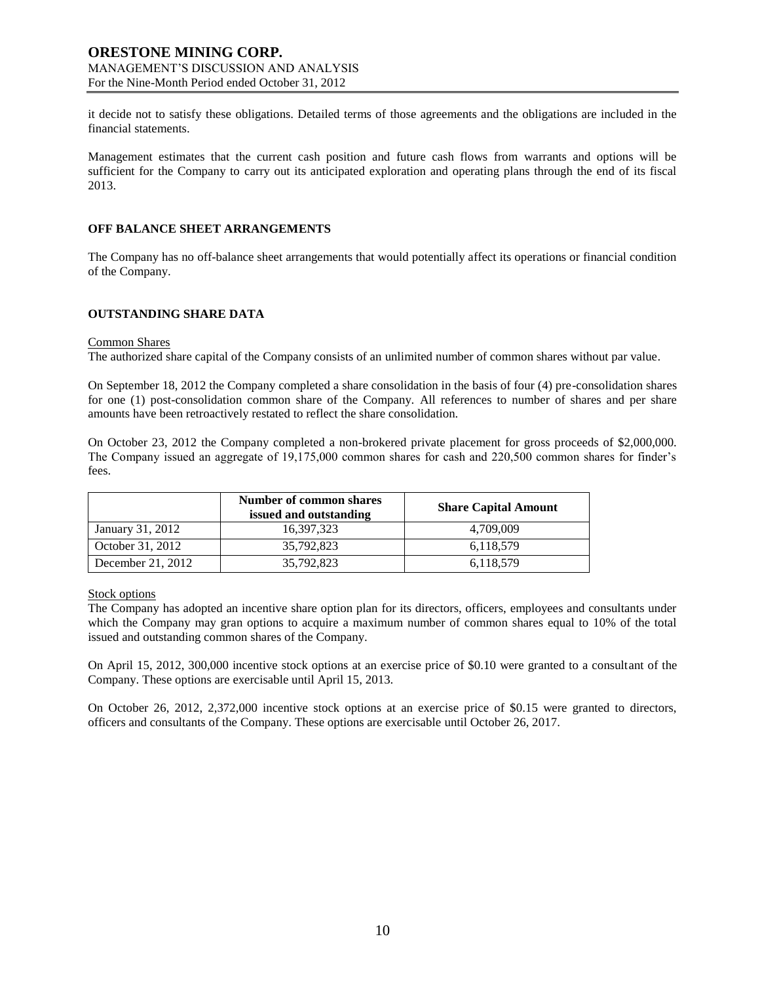it decide not to satisfy these obligations. Detailed terms of those agreements and the obligations are included in the financial statements.

Management estimates that the current cash position and future cash flows from warrants and options will be sufficient for the Company to carry out its anticipated exploration and operating plans through the end of its fiscal 2013.

# **OFF BALANCE SHEET ARRANGEMENTS**

The Company has no off-balance sheet arrangements that would potentially affect its operations or financial condition of the Company.

### **OUTSTANDING SHARE DATA**

#### Common Shares

The authorized share capital of the Company consists of an unlimited number of common shares without par value.

On September 18, 2012 the Company completed a share consolidation in the basis of four (4) pre-consolidation shares for one (1) post-consolidation common share of the Company. All references to number of shares and per share amounts have been retroactively restated to reflect the share consolidation.

On October 23, 2012 the Company completed a non-brokered private placement for gross proceeds of \$2,000,000. The Company issued an aggregate of 19,175,000 common shares for cash and 220,500 common shares for finder's fees.

|                   | Number of common shares<br>issued and outstanding | <b>Share Capital Amount</b> |
|-------------------|---------------------------------------------------|-----------------------------|
| January 31, 2012  | 16.397.323                                        | 4.709.009                   |
| October 31, 2012  | 35,792,823                                        | 6,118,579                   |
| December 21, 2012 | 35,792,823                                        | 6,118,579                   |

### Stock options

The Company has adopted an incentive share option plan for its directors, officers, employees and consultants under which the Company may gran options to acquire a maximum number of common shares equal to 10% of the total issued and outstanding common shares of the Company.

On April 15, 2012, 300,000 incentive stock options at an exercise price of \$0.10 were granted to a consultant of the Company. These options are exercisable until April 15, 2013.

On October 26, 2012, 2,372,000 incentive stock options at an exercise price of \$0.15 were granted to directors, officers and consultants of the Company. These options are exercisable until October 26, 2017.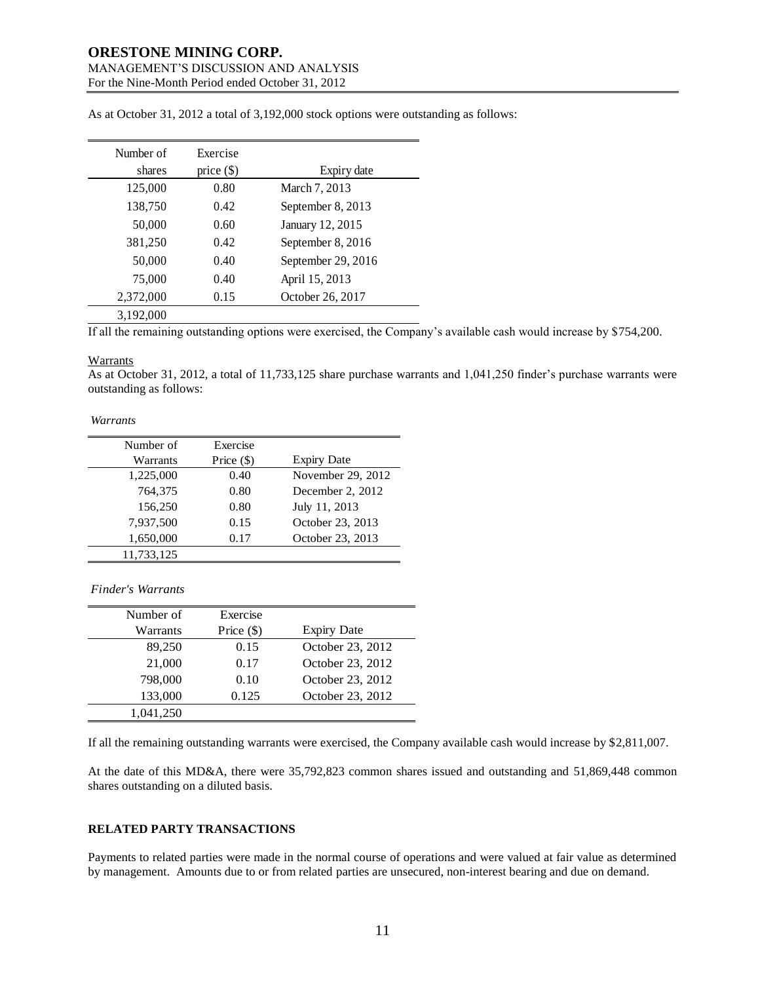### **ORESTONE MINING CORP.** MANAGEMENT'S DISCUSSION AND ANALYSIS

For the Nine-Month Period ended October 31, 2012

| Number of<br>shares | Exercise<br>price $(\$)$ | Expiry date        |
|---------------------|--------------------------|--------------------|
| 125,000             | 0.80                     | March 7, 2013      |
| 138,750             | 0.42                     | September 8, 2013  |
| 50,000              | 0.60                     | January 12, 2015   |
| 381,250             | 0.42                     | September 8, 2016  |
| 50,000              | 0.40                     | September 29, 2016 |
| 75,000              | 0.40                     | April 15, 2013     |
| 2,372,000           | 0.15                     | October 26, 2017   |
| 3,192,000           |                          |                    |

As at October 31, 2012 a total of 3,192,000 stock options were outstanding as follows:

If all the remaining outstanding options were exercised, the Company's available cash would increase by \$754,200.

### **Warrants**

As at October 31, 2012, a total of 11,733,125 share purchase warrants and 1,041,250 finder's purchase warrants were outstanding as follows:

*Warrants*

| Number of  | Exercise     |                    |
|------------|--------------|--------------------|
| Warrants   | Price $(\$)$ | <b>Expiry Date</b> |
| 1,225,000  | 0.40         | November 29, 2012  |
| 764,375    | 0.80         | December 2, 2012   |
| 156,250    | 0.80         | July 11, 2013      |
| 7,937,500  | 0.15         | October 23, 2013   |
| 1,650,000  | 0.17         | October 23, 2013   |
| 11,733,125 |              |                    |

*Finder's Warrants*

| Number of | Exercise     |                    |
|-----------|--------------|--------------------|
| Warrants  | Price $(\$)$ | <b>Expiry Date</b> |
| 89,250    | 0.15         | October 23, 2012   |
| 21,000    | 0.17         | October 23, 2012   |
| 798,000   | 0.10         | October 23, 2012   |
| 133,000   | 0.125        | October 23, 2012   |
| 1.041.250 |              |                    |

If all the remaining outstanding warrants were exercised, the Company available cash would increase by \$2,811,007.

At the date of this MD&A, there were 35,792,823 common shares issued and outstanding and 51,869,448 common shares outstanding on a diluted basis.

# **RELATED PARTY TRANSACTIONS**

Payments to related parties were made in the normal course of operations and were valued at fair value as determined by management. Amounts due to or from related parties are unsecured, non-interest bearing and due on demand.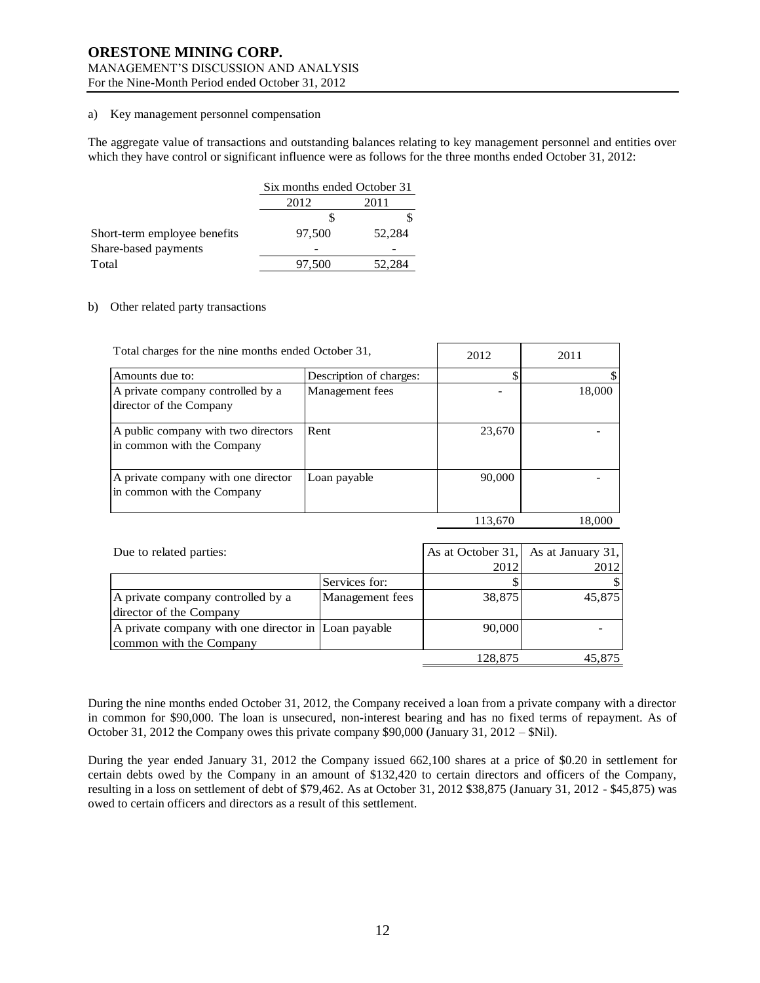### a) Key management personnel compensation

The aggregate value of transactions and outstanding balances relating to key management personnel and entities over which they have control or significant influence were as follows for the three months ended October 31, 2012:

|                              | Six months ended October 31 |        |  |
|------------------------------|-----------------------------|--------|--|
|                              | 2012<br>2011                |        |  |
|                              |                             |        |  |
| Short-term employee benefits | 97,500                      | 52,284 |  |
| Share-based payments         |                             |        |  |
| Total                        | 97,500                      | 52,284 |  |

### b) Other related party transactions

| Total charges for the nine months ended October 31,               |                         | 2012    | 2011   |
|-------------------------------------------------------------------|-------------------------|---------|--------|
|                                                                   |                         |         |        |
| Amounts due to:                                                   | Description of charges: | \$      |        |
| A private company controlled by a<br>director of the Company      | Management fees         |         | 18,000 |
| A public company with two directors<br>in common with the Company | Rent                    | 23,670  |        |
| A private company with one director<br>in common with the Company | Loan payable            | 90,000  |        |
|                                                                   |                         | 113,670 | 18,000 |

| Due to related parties:                                                        |                 |         | As at October 31, As at January 31, |
|--------------------------------------------------------------------------------|-----------------|---------|-------------------------------------|
|                                                                                |                 | 2012    | 2012                                |
|                                                                                | Services for:   |         | S                                   |
| A private company controlled by a<br>director of the Company                   | Management fees | 38,875  | 45,875                              |
| A private company with one director in Loan payable<br>common with the Company |                 | 90,000  |                                     |
|                                                                                |                 | 128,875 | 45.875                              |

During the nine months ended October 31, 2012, the Company received a loan from a private company with a director in common for \$90,000. The loan is unsecured, non-interest bearing and has no fixed terms of repayment. As of October 31, 2012 the Company owes this private company \$90,000 (January 31, 2012 – \$Nil).

During the year ended January 31, 2012 the Company issued 662,100 shares at a price of \$0.20 in settlement for certain debts owed by the Company in an amount of \$132,420 to certain directors and officers of the Company, resulting in a loss on settlement of debt of \$79,462. As at October 31, 2012 \$38,875 (January 31, 2012 - \$45,875) was owed to certain officers and directors as a result of this settlement.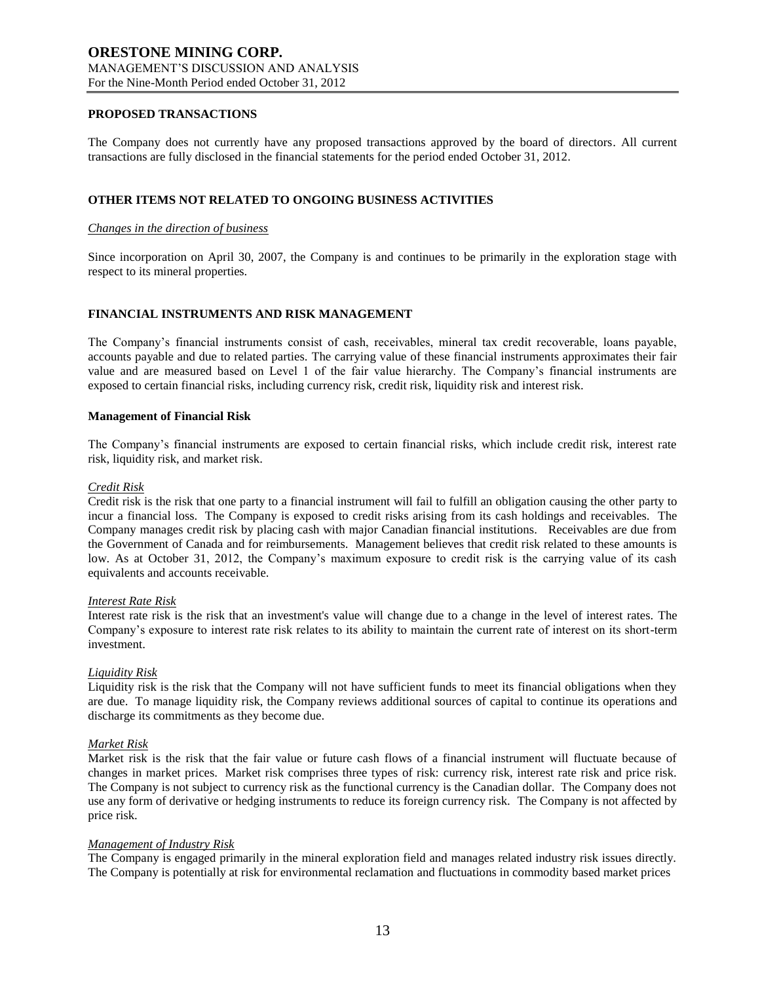### **PROPOSED TRANSACTIONS**

The Company does not currently have any proposed transactions approved by the board of directors. All current transactions are fully disclosed in the financial statements for the period ended October 31, 2012.

### **OTHER ITEMS NOT RELATED TO ONGOING BUSINESS ACTIVITIES**

### *Changes in the direction of business*

Since incorporation on April 30, 2007, the Company is and continues to be primarily in the exploration stage with respect to its mineral properties.

### **FINANCIAL INSTRUMENTS AND RISK MANAGEMENT**

The Company's financial instruments consist of cash, receivables, mineral tax credit recoverable, loans payable, accounts payable and due to related parties. The carrying value of these financial instruments approximates their fair value and are measured based on Level 1 of the fair value hierarchy. The Company's financial instruments are exposed to certain financial risks, including currency risk, credit risk, liquidity risk and interest risk.

### **Management of Financial Risk**

The Company's financial instruments are exposed to certain financial risks, which include credit risk, interest rate risk, liquidity risk, and market risk.

#### *Credit Risk*

Credit risk is the risk that one party to a financial instrument will fail to fulfill an obligation causing the other party to incur a financial loss. The Company is exposed to credit risks arising from its cash holdings and receivables. The Company manages credit risk by placing cash with major Canadian financial institutions. Receivables are due from the Government of Canada and for reimbursements. Management believes that credit risk related to these amounts is low. As at October 31, 2012, the Company's maximum exposure to credit risk is the carrying value of its cash equivalents and accounts receivable.

### *Interest Rate Risk*

Interest rate risk is the risk that an investment's value will change due to a change in the level of interest rates. The Company's exposure to interest rate risk relates to its ability to maintain the current rate of interest on its short-term investment.

### *Liquidity Risk*

Liquidity risk is the risk that the Company will not have sufficient funds to meet its financial obligations when they are due. To manage liquidity risk, the Company reviews additional sources of capital to continue its operations and discharge its commitments as they become due.

### *Market Risk*

Market risk is the risk that the fair value or future cash flows of a financial instrument will fluctuate because of changes in market prices. Market risk comprises three types of risk: currency risk, interest rate risk and price risk. The Company is not subject to currency risk as the functional currency is the Canadian dollar. The Company does not use any form of derivative or hedging instruments to reduce its foreign currency risk. The Company is not affected by price risk.

### *Management of Industry Risk*

The Company is engaged primarily in the mineral exploration field and manages related industry risk issues directly. The Company is potentially at risk for environmental reclamation and fluctuations in commodity based market prices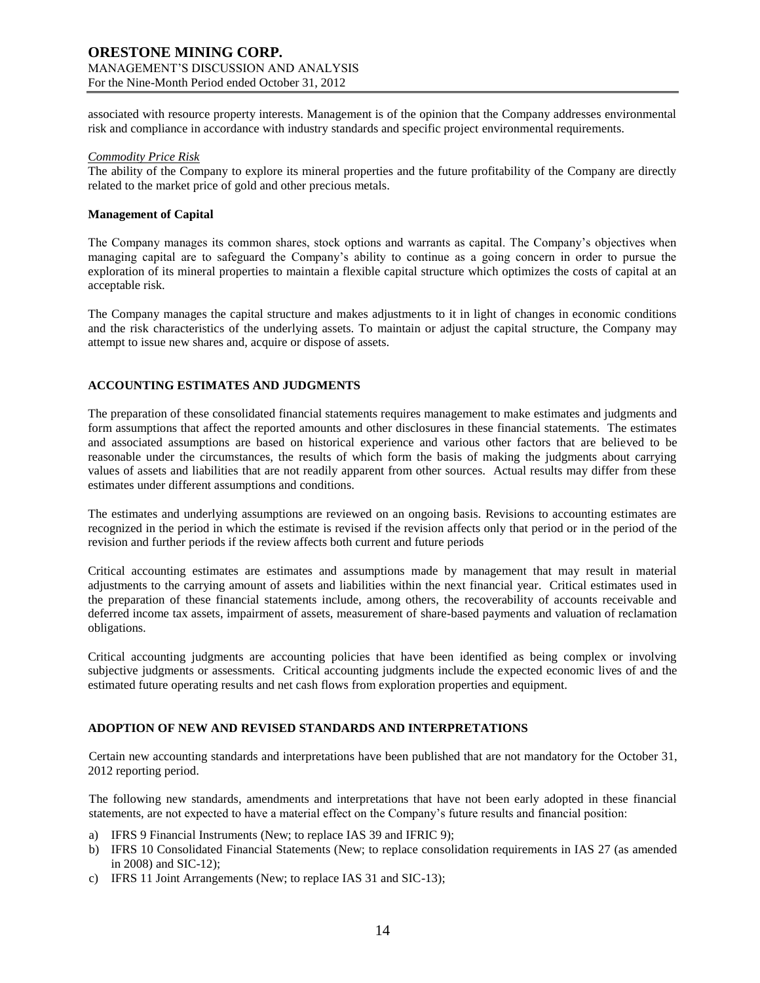associated with resource property interests. Management is of the opinion that the Company addresses environmental risk and compliance in accordance with industry standards and specific project environmental requirements.

### *Commodity Price Risk*

The ability of the Company to explore its mineral properties and the future profitability of the Company are directly related to the market price of gold and other precious metals.

# **Management of Capital**

The Company manages its common shares, stock options and warrants as capital. The Company's objectives when managing capital are to safeguard the Company's ability to continue as a going concern in order to pursue the exploration of its mineral properties to maintain a flexible capital structure which optimizes the costs of capital at an acceptable risk.

The Company manages the capital structure and makes adjustments to it in light of changes in economic conditions and the risk characteristics of the underlying assets. To maintain or adjust the capital structure, the Company may attempt to issue new shares and, acquire or dispose of assets.

# **ACCOUNTING ESTIMATES AND JUDGMENTS**

The preparation of these consolidated financial statements requires management to make estimates and judgments and form assumptions that affect the reported amounts and other disclosures in these financial statements. The estimates and associated assumptions are based on historical experience and various other factors that are believed to be reasonable under the circumstances, the results of which form the basis of making the judgments about carrying values of assets and liabilities that are not readily apparent from other sources. Actual results may differ from these estimates under different assumptions and conditions.

The estimates and underlying assumptions are reviewed on an ongoing basis. Revisions to accounting estimates are recognized in the period in which the estimate is revised if the revision affects only that period or in the period of the revision and further periods if the review affects both current and future periods

Critical accounting estimates are estimates and assumptions made by management that may result in material adjustments to the carrying amount of assets and liabilities within the next financial year. Critical estimates used in the preparation of these financial statements include, among others, the recoverability of accounts receivable and deferred income tax assets, impairment of assets, measurement of share-based payments and valuation of reclamation obligations.

Critical accounting judgments are accounting policies that have been identified as being complex or involving subjective judgments or assessments. Critical accounting judgments include the expected economic lives of and the estimated future operating results and net cash flows from exploration properties and equipment.

# **ADOPTION OF NEW AND REVISED STANDARDS AND INTERPRETATIONS**

Certain new accounting standards and interpretations have been published that are not mandatory for the October 31, 2012 reporting period.

The following new standards, amendments and interpretations that have not been early adopted in these financial statements, are not expected to have a material effect on the Company's future results and financial position:

- a) IFRS 9 Financial Instruments (New; to replace IAS 39 and IFRIC 9);
- b) IFRS 10 Consolidated Financial Statements (New; to replace consolidation requirements in IAS 27 (as amended in 2008) and SIC-12);
- c) IFRS 11 Joint Arrangements (New; to replace IAS 31 and SIC-13);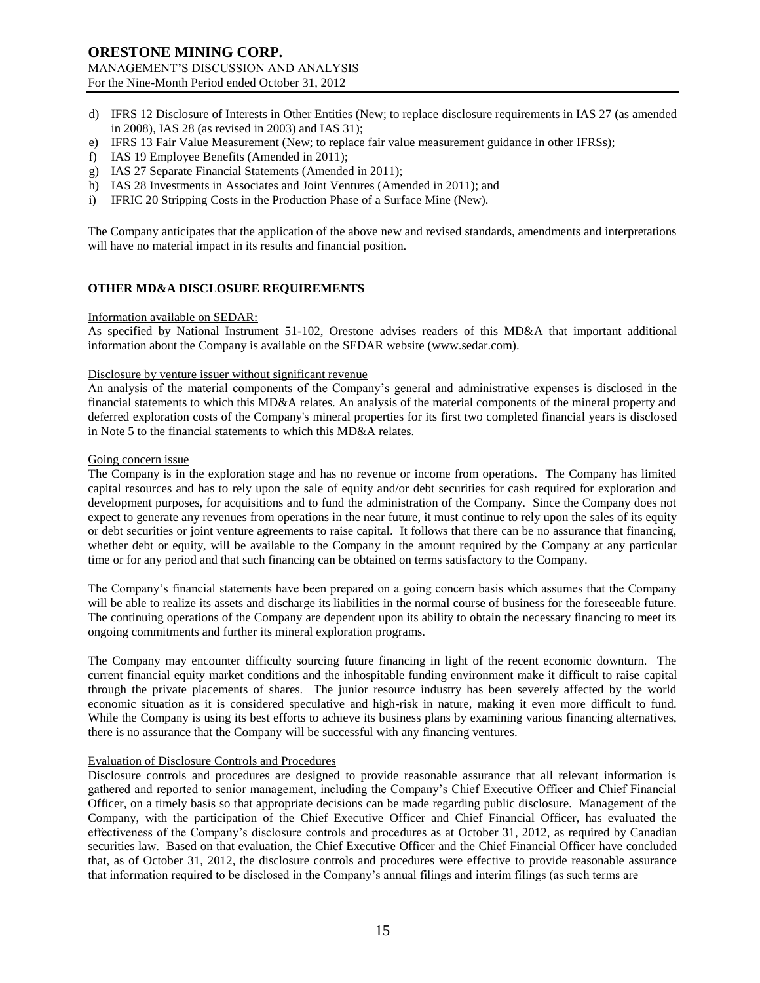- d) IFRS 12 Disclosure of Interests in Other Entities (New; to replace disclosure requirements in IAS 27 (as amended in 2008), IAS 28 (as revised in 2003) and IAS 31);
- e) IFRS 13 Fair Value Measurement (New; to replace fair value measurement guidance in other IFRSs);
- f) IAS 19 Employee Benefits (Amended in 2011);
- g) IAS 27 Separate Financial Statements (Amended in 2011);
- h) IAS 28 Investments in Associates and Joint Ventures (Amended in 2011); and
- i) IFRIC 20 Stripping Costs in the Production Phase of a Surface Mine (New).

The Company anticipates that the application of the above new and revised standards, amendments and interpretations will have no material impact in its results and financial position.

### **OTHER MD&A DISCLOSURE REQUIREMENTS**

### Information available on SEDAR:

As specified by National Instrument 51-102, Orestone advises readers of this MD&A that important additional information about the Company is available on the SEDAR website (www.sedar.com).

#### Disclosure by venture issuer without significant revenue

An analysis of the material components of the Company's general and administrative expenses is disclosed in the financial statements to which this MD&A relates. An analysis of the material components of the mineral property and deferred exploration costs of the Company's mineral properties for its first two completed financial years is disclosed in Note 5 to the financial statements to which this MD&A relates.

#### Going concern issue

The Company is in the exploration stage and has no revenue or income from operations. The Company has limited capital resources and has to rely upon the sale of equity and/or debt securities for cash required for exploration and development purposes, for acquisitions and to fund the administration of the Company. Since the Company does not expect to generate any revenues from operations in the near future, it must continue to rely upon the sales of its equity or debt securities or joint venture agreements to raise capital. It follows that there can be no assurance that financing, whether debt or equity, will be available to the Company in the amount required by the Company at any particular time or for any period and that such financing can be obtained on terms satisfactory to the Company.

The Company's financial statements have been prepared on a going concern basis which assumes that the Company will be able to realize its assets and discharge its liabilities in the normal course of business for the foreseeable future. The continuing operations of the Company are dependent upon its ability to obtain the necessary financing to meet its ongoing commitments and further its mineral exploration programs.

The Company may encounter difficulty sourcing future financing in light of the recent economic downturn. The current financial equity market conditions and the inhospitable funding environment make it difficult to raise capital through the private placements of shares. The junior resource industry has been severely affected by the world economic situation as it is considered speculative and high-risk in nature, making it even more difficult to fund. While the Company is using its best efforts to achieve its business plans by examining various financing alternatives, there is no assurance that the Company will be successful with any financing ventures.

### Evaluation of Disclosure Controls and Procedures

Disclosure controls and procedures are designed to provide reasonable assurance that all relevant information is gathered and reported to senior management, including the Company's Chief Executive Officer and Chief Financial Officer, on a timely basis so that appropriate decisions can be made regarding public disclosure. Management of the Company, with the participation of the Chief Executive Officer and Chief Financial Officer, has evaluated the effectiveness of the Company's disclosure controls and procedures as at October 31, 2012, as required by Canadian securities law. Based on that evaluation, the Chief Executive Officer and the Chief Financial Officer have concluded that, as of October 31, 2012, the disclosure controls and procedures were effective to provide reasonable assurance that information required to be disclosed in the Company's annual filings and interim filings (as such terms are